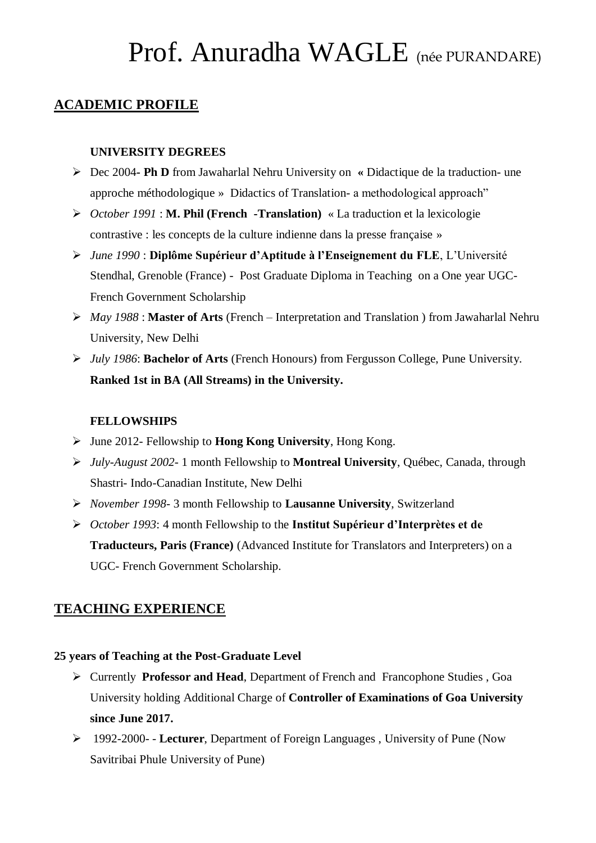### **ACADEMIC PROFILE**

### **UNIVERSITY DEGREES**

- Dec 2004**- Ph D** from Jawaharlal Nehru University on **«** Didactique de la traduction- une approche méthodologique »Didactics of Translation- a methodological approach"
- *October 1991* : **M. Phil (French -Translation)** « La traduction et la lexicologie contrastive : les concepts de la culture indienne dans la presse française »
- *June 1990* : **Diplôme Supérieur d'Aptitude à l'Enseignement du FLE**, L'Université Stendhal, Grenoble (France) - Post Graduate Diploma in Teaching on a One year UGC-French Government Scholarship
- *May 1988* : **Master of Arts** (French Interpretation and Translation ) from Jawaharlal Nehru University, New Delhi
- *July 1986*: **Bachelor of Arts** (French Honours) from Fergusson College, Pune University. **Ranked 1st in BA (All Streams) in the University.**

### **FELLOWSHIPS**

- June 2012- Fellowship to **Hong Kong University**, Hong Kong.
- *July-August 2002-* 1 month Fellowship to **Montreal University**, Québec, Canada*,* through Shastri- Indo-Canadian Institute, New Delhi
- *November 1998-* 3 month Fellowship to **Lausanne University**, Switzerland
- *October 1993*: 4 month Fellowship to the **Institut Supérieur d'Interprètes et de Traducteurs, Paris (France)** (Advanced Institute for Translators and Interpreters) on a UGC- French Government Scholarship.

## **TEACHING EXPERIENCE**

#### **25 years of Teaching at the Post-Graduate Level**

- Currently **Professor and Head**, Department of French and Francophone Studies , Goa University holding Additional Charge of **Controller of Examinations of Goa University since June 2017.**
- 1992-2000- **Lecturer**, Department of Foreign Languages , University of Pune (Now Savitribai Phule University of Pune)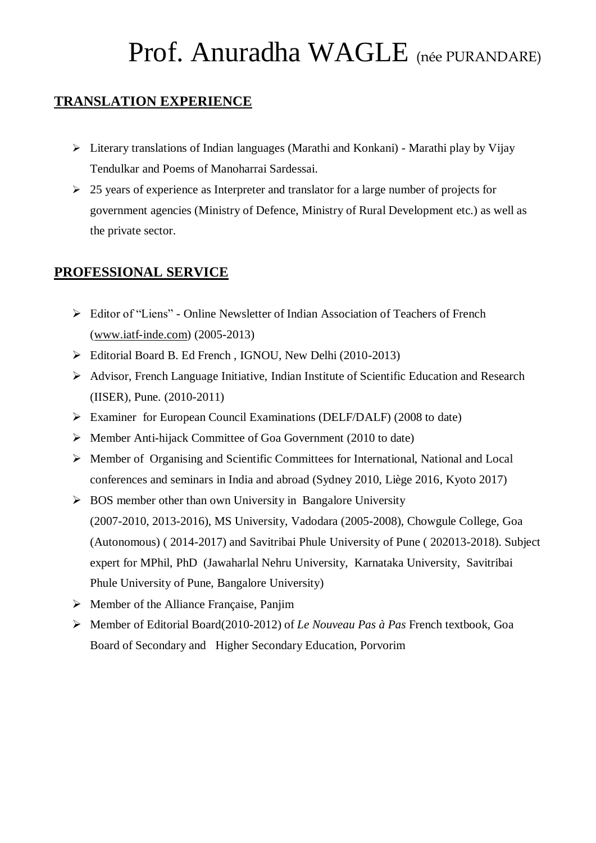## **TRANSLATION EXPERIENCE**

- $\triangleright$  Literary translations of Indian languages (Marathi and Konkani) Marathi play by Vijay Tendulkar and Poems of Manoharrai Sardessai.
- $\geq$  25 years of experience as Interpreter and translator for a large number of projects for government agencies (Ministry of Defence, Ministry of Rural Development etc.) as well as the private sector.

## **PROFESSIONAL SERVICE**

- Editor of "Liens" Online Newsletter of Indian Association of Teachers of French [\(www.iatf-inde.com\)](http://www.iatf-inde.com/) (2005-2013)
- Editorial Board B. Ed French , IGNOU, New Delhi (2010-2013)
- Advisor, French Language Initiative, Indian Institute of Scientific Education and Research (IISER), Pune. (2010-2011)
- Examiner for European Council Examinations (DELF/DALF) (2008 to date)
- $\triangleright$  Member Anti-hijack Committee of Goa Government (2010 to date)
- Member of Organising and Scientific Committees for International, National and Local conferences and seminars in India and abroad (Sydney 2010, Liège 2016, Kyoto 2017)
- $\triangleright$  BOS member other than own University in Bangalore University (2007-2010, 2013-2016), MS University, Vadodara (2005-2008), Chowgule College, Goa (Autonomous) ( 2014-2017) and Savitribai Phule University of Pune ( 202013-2018). Subject expert for MPhil, PhD (Jawaharlal Nehru University, Karnataka University, Savitribai Phule University of Pune, Bangalore University)
- $\triangleright$  Member of the Alliance Française, Panjim
- Member of Editorial Board(2010-2012) of *Le Nouveau Pas à Pas* French textbook, Goa Board of Secondary and Higher Secondary Education, Porvorim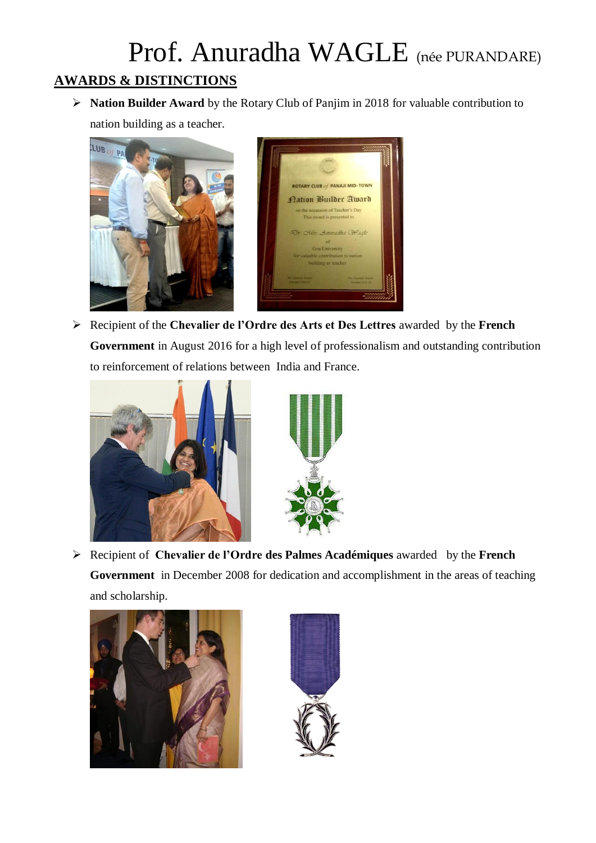## Prof. Anuradha WAGLE (née PURANDARE) **AWARDS & DISTINCTIONS**

 **Nation Builder Award** by the Rotary Club of Panjim in 2018 for valuable contribution to nation building as a teacher.





 Recipient of the **Chevalier de l'Ordre des Arts et Des Lettres** awarded by the **French Government** in August 2016 for a high level of professionalism and outstanding contribution to reinforcement of relations between India and France.





 Recipient of **Chevalier de l'Ordre des Palmes Académiques** awarded by the **French Government** in December 2008 for dedication and accomplishment in the areas of teaching and scholarship.



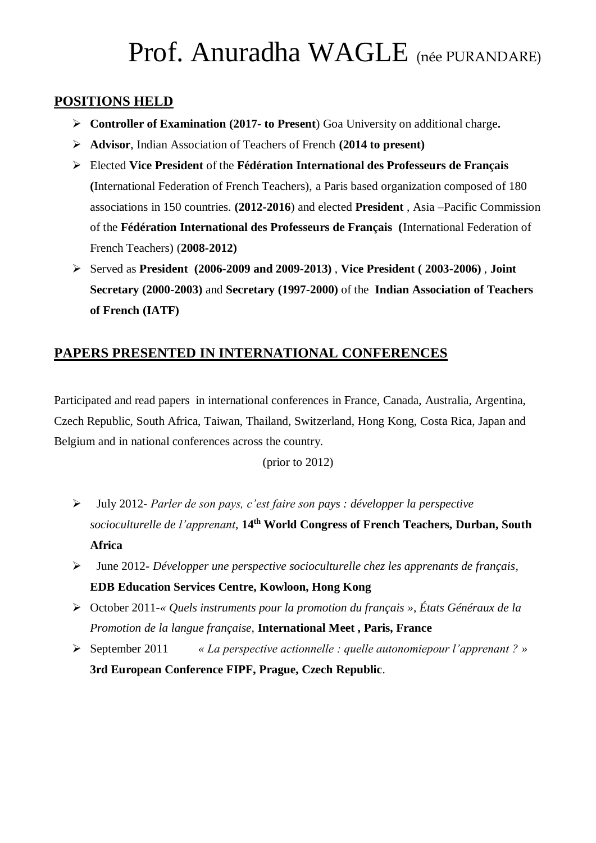### **POSITIONS HELD**

- **Controller of Examination (2017- to Present**) Goa University on additional charge**.**
- **Advisor**, Indian Association of Teachers of French **(2014 to present)**
- Elected **Vice President** of the **Fédération International des Professeurs de Français (**International Federation of French Teachers), a Paris based organization composed of 180 associations in 150 countries. **(2012-2016**) and elected **President** , Asia –Pacific Commission of the **Fédération International des Professeurs de Français (**International Federation of French Teachers) (**2008-2012)**
- Served as **President (2006-2009 and 2009-2013)** , **Vice President ( 2003-2006)** , **Joint Secretary (2000-2003)** and **Secretary (1997-2000)** of the **Indian Association of Teachers of French (IATF)**

## **PAPERS PRESENTED IN INTERNATIONAL CONFERENCES**

Participated and read papers in international conferences in France, Canada, Australia, Argentina, Czech Republic, South Africa, Taiwan, Thailand, Switzerland, Hong Kong, Costa Rica, Japan and Belgium and in national conferences across the country.

### (prior to 2012)

- July 2012*- Parler de son pays, c'est faire son pays : développer la perspective socioculturelle de l'apprenant*, **14th World Congress of French Teachers, Durban, South Africa**
- June 2012*- Développer une perspective socioculturelle chez les apprenants de français*, **EDB Education Services Centre, Kowloon, Hong Kong**
- October 2011*-« Quels instruments pour la promotion du français », États Généraux de la Promotion de la langue française,* **International Meet , Paris, France**
- September 2011 *« La perspective actionnelle : quelle autonomiepour l'apprenant ? »* **3rd European Conference FIPF, Prague, Czech Republic**.